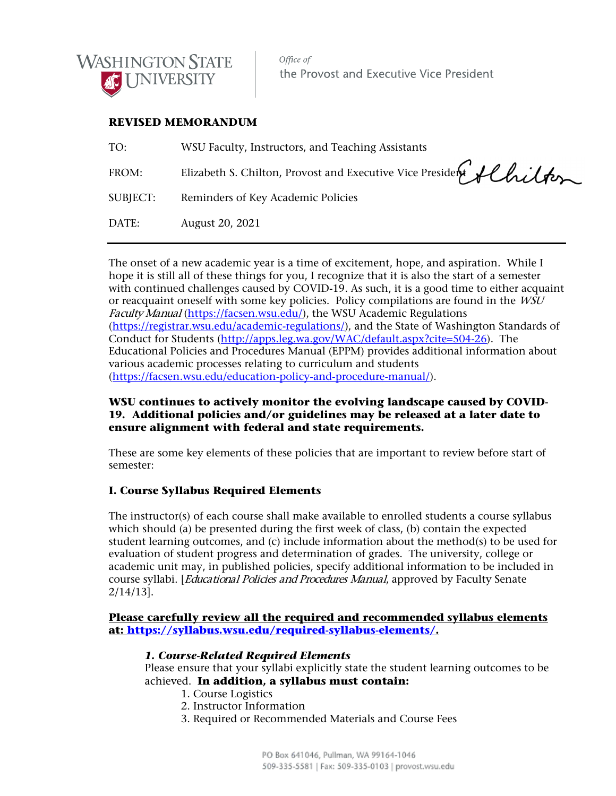

Office of the Provost and Executive Vice President

# **REVISED MEMORANDUM**

| TO:             | WSU Faculty, Instructors, and Teaching Assistants                |
|-----------------|------------------------------------------------------------------|
| FROM:           | Elizabeth S. Chilton, Provost and Executive Vice President fluit |
| <b>SUBJECT:</b> | Reminders of Key Academic Policies                               |
| DATE:           | August 20, 2021                                                  |

The onset of a new academic year is a time of excitement, hope, and aspiration. While I hope it is still all of these things for you, I recognize that it is also the start of a semester with continued challenges caused by COVID-19. As such, it is a good time to either acquaint or reacquaint oneself with some key policies. Policy compilations are found in the WSU Faculty Manual [\(https://facsen.wsu.edu/\)](https://facsen.wsu.edu/), the WSU Academic Regulations [\(https://registrar.wsu.edu/academic-regulations/\)](https://registrar.wsu.edu/academic-regulations/), and the State of Washington Standards of Conduct for Students [\(http://apps.leg.wa.gov/WAC/default.aspx?cite=504-26\)](http://apps.leg.wa.gov/WAC/default.aspx?cite=504-26). The Educational Policies and Procedures Manual (EPPM) provides additional information about various academic processes relating to curriculum and students [\(https://facsen.wsu.edu/education-policy-and-procedure-manual/\)](https://facsen.wsu.edu/education-policy-and-procedure-manual/).

# **WSU continues to actively monitor the evolving landscape caused by COVID-19. Additional policies and/or guidelines may be released at a later date to ensure alignment with federal and state requirements.**

These are some key elements of these policies that are important to review before start of semester:

# **I. Course Syllabus Required Elements**

The instructor(s) of each course shall make available to enrolled students a course syllabus which should (a) be presented during the first week of class, (b) contain the expected student learning outcomes, and (c) include information about the method(s) to be used for evaluation of student progress and determination of grades. The university, college or academic unit may, in published policies, specify additional information to be included in course syllabi. [*Educational Policies and Procedures Manual*, approved by Faculty Senate 2/14/13].

## **Please carefully review all the required and recommended syllabus elements at: [https://syllabus.wsu.edu/required-syllabus-elements/.](https://syllabus.wsu.edu/required-syllabus-elements/)**

## *1. Course-Related Required Elements*

Please ensure that your syllabi explicitly state the student learning outcomes to be achieved. **In addition, a syllabus must contain:**

- 1. Course Logistics
- 2. Instructor Information
- 3. Required or Recommended Materials and Course Fees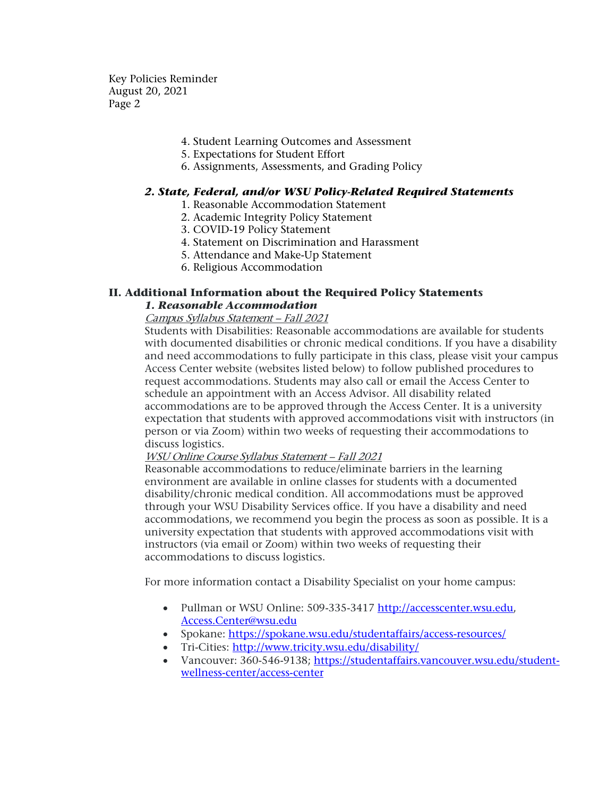- 4. Student Learning Outcomes and Assessment
- 5. Expectations for Student Effort
- 6. Assignments, Assessments, and Grading Policy

## *2. State, Federal, and/or WSU Policy-Related Required Statements*

- 1. Reasonable Accommodation Statement
- 2. Academic Integrity Policy Statement
- 3. COVID-19 Policy Statement
- 4. Statement on Discrimination and Harassment
- 5. Attendance and Make-Up Statement
- 6. Religious Accommodation

## **II. Additional Information about the Required Policy Statements** *1. Reasonable Accommodation*

## Campus Syllabus Statement – Fall 2021

Students with Disabilities: Reasonable accommodations are available for students with documented disabilities or chronic medical conditions. If you have a disability and need accommodations to fully participate in this class, please visit your campus Access Center website (websites listed below) to follow published procedures to request accommodations. Students may also call or email the Access Center to schedule an appointment with an Access Advisor. All disability related accommodations are to be approved through the Access Center. It is a university expectation that students with approved accommodations visit with instructors (in person or via Zoom) within two weeks of requesting their accommodations to discuss logistics.

#### WSU Online Course Syllabus Statement – Fall 2021

Reasonable accommodations to reduce/eliminate barriers in the learning environment are available in online classes for students with a documented disability/chronic medical condition. All accommodations must be approved through your WSU Disability Services office. If you have a disability and need accommodations, we recommend you begin the process as soon as possible. It is a university expectation that students with approved accommodations visit with instructors (via email or Zoom) within two weeks of requesting their accommodations to discuss logistics.

For more information contact a Disability Specialist on your home campus:

- Pullman or WSU Online: 509-335-3417 [http://accesscenter.wsu.edu,](http://accesscenter.wsu.edu/) [Access.Center@wsu.edu](mailto:Access.Center@wsu.edu)
- Spokane:<https://spokane.wsu.edu/studentaffairs/access-resources/>
- Tri-Cities:<http://www.tricity.wsu.edu/disability/>
- Vancouver: 360-546-9138; [https://studentaffairs.vancouver.wsu.edu/student](https://studentaffairs.vancouver.wsu.edu/student-wellness-center/access-center)[wellness-center/access-center](https://studentaffairs.vancouver.wsu.edu/student-wellness-center/access-center)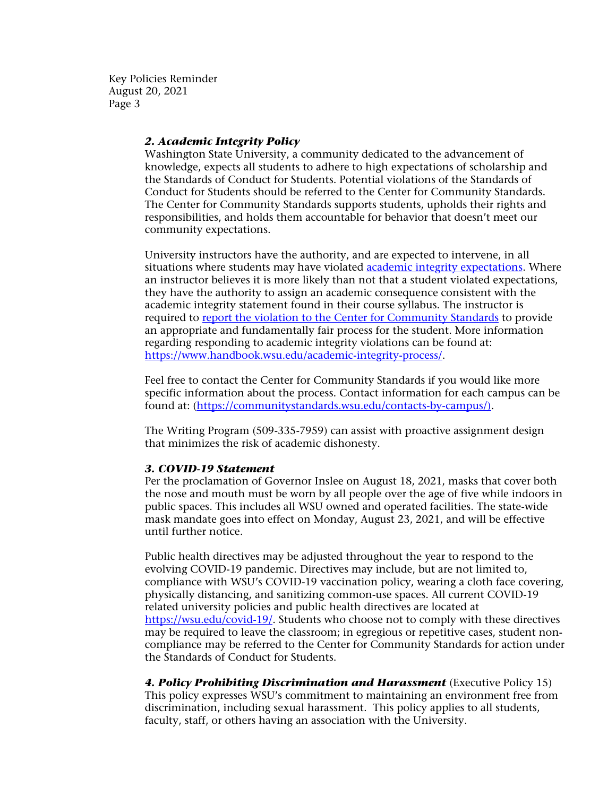## *2. Academic Integrity Policy*

Washington State University, a community dedicated to the advancement of knowledge, expects all students to adhere to high expectations of scholarship and the Standards of Conduct for Students. Potential violations of the Standards of Conduct for Students should be referred to the Center for Community Standards. The Center for Community Standards supports students, upholds their rights and responsibilities, and holds them accountable for behavior that doesn't meet our community expectations.

University instructors have the authority, and are expected to intervene, in all situations where students may have violated [academic integrity expectations.](https://app.leg.wa.gov/wac/default.aspx?cite=504-26-202) Where an instructor believes it is more likely than not that a student violated expectations, they have the authority to assign an academic consequence consistent with the academic integrity statement found in their course syllabus. The instructor is required to [report the violation to the Center for Community Standards](https://cm.maxient.com/reportingform.php?WashingtonStateUniv&layout_id=8) to provide an appropriate and fundamentally fair process for the student. More information regarding responding to academic integrity violations can be found at: [https://www.handbook.wsu.edu/academic-integrity-process/.](https://www.handbook.wsu.edu/academic-integrity-process/)

Feel free to contact the Center for Community Standards if you would like more specific information about the process. Contact information for each campus can be found at: [\(https://communitystandards.wsu.edu/contacts-by-campus/\)](https://communitystandards.wsu.edu/contacts-by-campus/).

The Writing Program (509-335-7959) can assist with proactive assignment design that minimizes the risk of academic dishonesty.

#### *3. COVID-19 Statement*

Per the proclamation of Governor Inslee on August 18, 2021, masks that cover both the nose and mouth must be worn by all people over the age of five while indoors in public spaces. This includes all WSU owned and operated facilities. The state-wide mask mandate goes into effect on Monday, August 23, 2021, and will be effective until further notice.

Public health directives may be adjusted throughout the year to respond to the evolving COVID-19 pandemic. Directives may include, but are not limited to, compliance with WSU's COVID-19 vaccination policy, wearing a cloth face covering, physically distancing, and sanitizing common-use spaces. All current COVID-19 related university policies and public health directives are located at [https://wsu.edu/covid-19/.](https://wsu.edu/covid-19/) Students who choose not to comply with these directives may be required to leave the classroom; in egregious or repetitive cases, student noncompliance may be referred to the Center for Community Standards for action under the Standards of Conduct for Students.

**4. Policy Prohibiting Discrimination and Harassment** (Executive Policy 15) This policy expresses WSU's commitment to maintaining an environment free from discrimination, including sexual harassment. This policy applies to all students, faculty, staff, or others having an association with the University.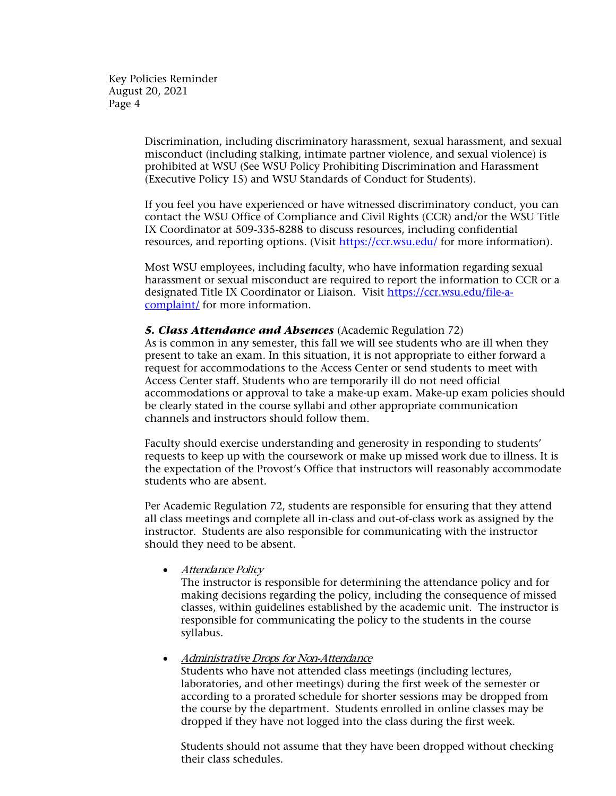> Discrimination, including discriminatory harassment, sexual harassment, and sexual misconduct (including stalking, intimate partner violence, and sexual violence) is prohibited at WSU (See WSU Policy Prohibiting Discrimination and Harassment (Executive Policy 15) and WSU Standards of Conduct for Students).

> If you feel you have experienced or have witnessed discriminatory conduct, you can contact the WSU Office of Compliance and Civil Rights (CCR) and/or the WSU Title IX Coordinator at 509-335-8288 to discuss resources, including confidential resources, and reporting options. (Visit<https://ccr.wsu.edu/> for more information).

> Most WSU employees, including faculty, who have information regarding sexual harassment or sexual misconduct are required to report the information to CCR or a designated Title IX Coordinator or Liaison. Visit [https://ccr.wsu.edu/file-a](https://ccr.wsu.edu/file-a-complaint/)[complaint/](https://ccr.wsu.edu/file-a-complaint/) for more information.

## *5. Class Attendance and Absences* (Academic Regulation 72)

As is common in any semester, this fall we will see students who are ill when they present to take an exam. In this situation, it is not appropriate to either forward a request for accommodations to the Access Center or send students to meet with Access Center staff. Students who are temporarily ill do not need official accommodations or approval to take a make-up exam. Make-up exam policies should be clearly stated in the course syllabi and other appropriate communication channels and instructors should follow them.

Faculty should exercise understanding and generosity in responding to students' requests to keep up with the coursework or make up missed work due to illness. It is the expectation of the Provost's Office that instructors will reasonably accommodate students who are absent.

Per Academic Regulation 72, students are responsible for ensuring that they attend all class meetings and complete all in-class and out-of-class work as assigned by the instructor. Students are also responsible for communicating with the instructor should they need to be absent.

• Attendance Policy

The instructor is responsible for determining the attendance policy and for making decisions regarding the policy, including the consequence of missed classes, within guidelines established by the academic unit. The instructor is responsible for communicating the policy to the students in the course syllabus.

#### • Administrative Drops for Non-Attendance

Students who have not attended class meetings (including lectures, laboratories, and other meetings) during the first week of the semester or according to a prorated schedule for shorter sessions may be dropped from the course by the department. Students enrolled in online classes may be dropped if they have not logged into the class during the first week.

Students should not assume that they have been dropped without checking their class schedules.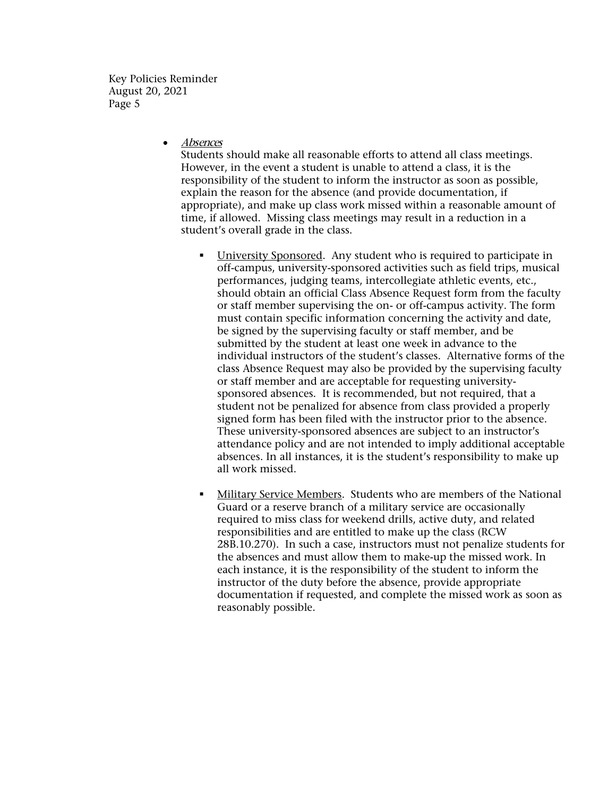• Absences

Students should make all reasonable efforts to attend all class meetings. However, in the event a student is unable to attend a class, it is the responsibility of the student to inform the instructor as soon as possible, explain the reason for the absence (and provide documentation, if appropriate), and make up class work missed within a reasonable amount of time, if allowed. Missing class meetings may result in a reduction in a student's overall grade in the class.

- University Sponsored. Any student who is required to participate in off-campus, university-sponsored activities such as field trips, musical performances, judging teams, intercollegiate athletic events, etc., should obtain an official Class Absence Request form from the faculty or staff member supervising the on- or off-campus activity. The form must contain specific information concerning the activity and date, be signed by the supervising faculty or staff member, and be submitted by the student at least one week in advance to the individual instructors of the student's classes. Alternative forms of the class Absence Request may also be provided by the supervising faculty or staff member and are acceptable for requesting universitysponsored absences. It is recommended, but not required, that a student not be penalized for absence from class provided a properly signed form has been filed with the instructor prior to the absence. These university-sponsored absences are subject to an instructor's attendance policy and are not intended to imply additional acceptable absences. In all instances, it is the student's responsibility to make up all work missed.
- Military Service Members. Students who are members of the National Guard or a reserve branch of a military service are occasionally required to miss class for weekend drills, active duty, and related responsibilities and are entitled to make up the class (RCW 28B.10.270). In such a case, instructors must not penalize students for the absences and must allow them to make-up the missed work. In each instance, it is the responsibility of the student to inform the instructor of the duty before the absence, provide appropriate documentation if requested, and complete the missed work as soon as reasonably possible.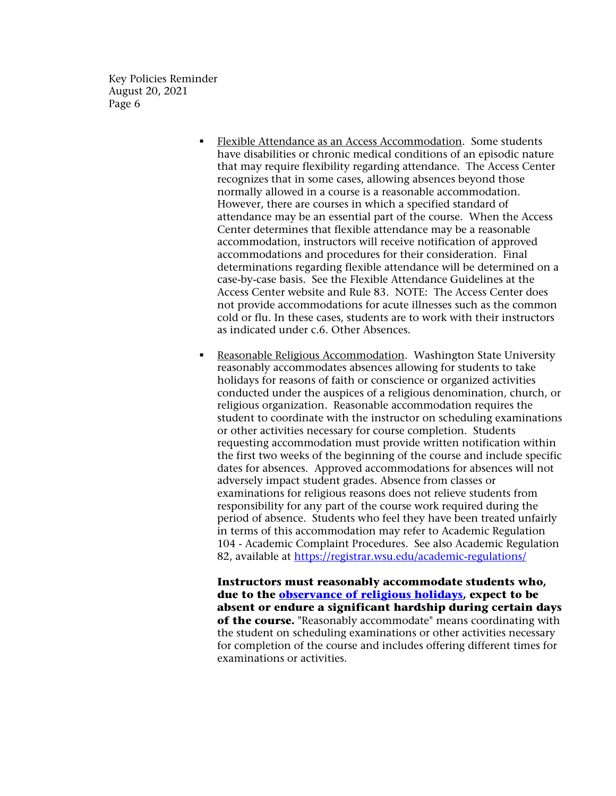- Flexible Attendance as an Access Accommodation. Some students have disabilities or chronic medical conditions of an episodic nature that may require flexibility regarding attendance. The Access Center recognizes that in some cases, allowing absences beyond those normally allowed in a course is a reasonable accommodation. However, there are courses in which a specified standard of attendance may be an essential part of the course. When the Access Center determines that flexible attendance may be a reasonable accommodation, instructors will receive notification of approved accommodations and procedures for their consideration. Final determinations regarding flexible attendance will be determined on a case-by-case basis. See the Flexible Attendance Guidelines at the Access Center website and Rule 83. NOTE: The Access Center does not provide accommodations for acute illnesses such as the common cold or flu. In these cases, students are to work with their instructors as indicated under c.6. Other Absences.
- Reasonable Religious Accommodation. Washington State University reasonably accommodates absences allowing for students to take holidays for reasons of faith or conscience or organized activities conducted under the auspices of a religious denomination, church, or religious organization. Reasonable accommodation requires the student to coordinate with the instructor on scheduling examinations or other activities necessary for course completion. Students requesting accommodation must provide written notification within the first two weeks of the beginning of the course and include specific dates for absences. Approved accommodations for absences will not adversely impact student grades. Absence from classes or examinations for religious reasons does not relieve students from responsibility for any part of the course work required during the period of absence. Students who feel they have been treated unfairly in terms of this accommodation may refer to Academic Regulation 104 - Academic Complaint Procedures. See also Academic Regulation 82, available at<https://registrar.wsu.edu/academic-regulations/>

**Instructors must reasonably accommodate students who, due to the [observance of religious holidays,](https://provost.wsu.edu/manuals-and-forms/religious-holidays/) expect to be absent or endure a significant hardship during certain days of the course.** "Reasonably accommodate" means coordinating with the student on scheduling examinations or other activities necessary for completion of the course and includes offering different times for examinations or activities.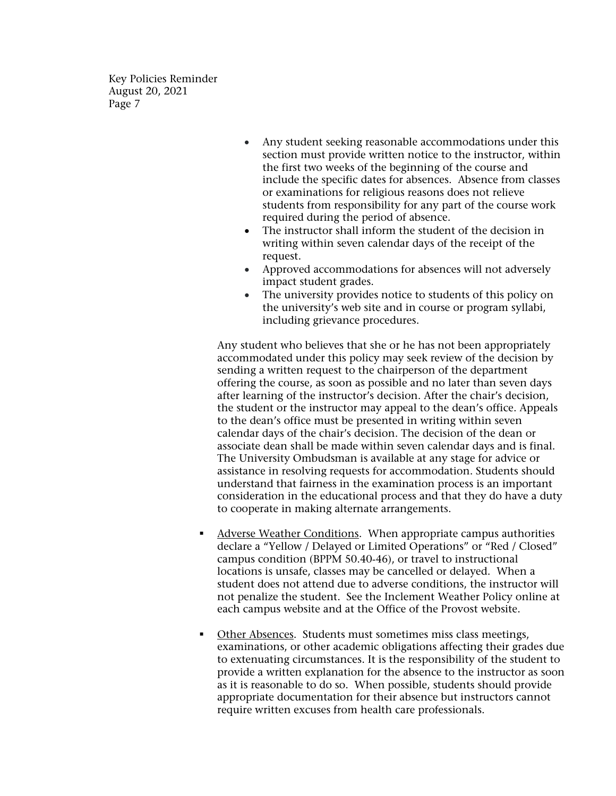- Any student seeking reasonable accommodations under this section must provide written notice to the instructor, within the first two weeks of the beginning of the course and include the specific dates for absences. Absence from classes or examinations for religious reasons does not relieve students from responsibility for any part of the course work required during the period of absence.
- The instructor shall inform the student of the decision in writing within seven calendar days of the receipt of the request.
- Approved accommodations for absences will not adversely impact student grades.
- The university provides notice to students of this policy on the university's web site and in course or program syllabi, including grievance procedures.

Any student who believes that she or he has not been appropriately accommodated under this policy may seek review of the decision by sending a written request to the chairperson of the department offering the course, as soon as possible and no later than seven days after learning of the instructor's decision. After the chair's decision, the student or the instructor may appeal to the dean's office. Appeals to the dean's office must be presented in writing within seven calendar days of the chair's decision. The decision of the dean or associate dean shall be made within seven calendar days and is final. The University Ombudsman is available at any stage for advice or assistance in resolving requests for accommodation. Students should understand that fairness in the examination process is an important consideration in the educational process and that they do have a duty to cooperate in making alternate arrangements.

- Adverse Weather Conditions. When appropriate campus authorities declare a "Yellow / Delayed or Limited Operations" or "Red / Closed" campus condition (BPPM 50.40‐46), or travel to instructional locations is unsafe, classes may be cancelled or delayed. When a student does not attend due to adverse conditions, the instructor will not penalize the student. See the Inclement Weather Policy online at each campus website and at the Office of the Provost website.
- Other Absences. Students must sometimes miss class meetings, examinations, or other academic obligations affecting their grades due to extenuating circumstances. It is the responsibility of the student to provide a written explanation for the absence to the instructor as soon as it is reasonable to do so. When possible, students should provide appropriate documentation for their absence but instructors cannot require written excuses from health care professionals.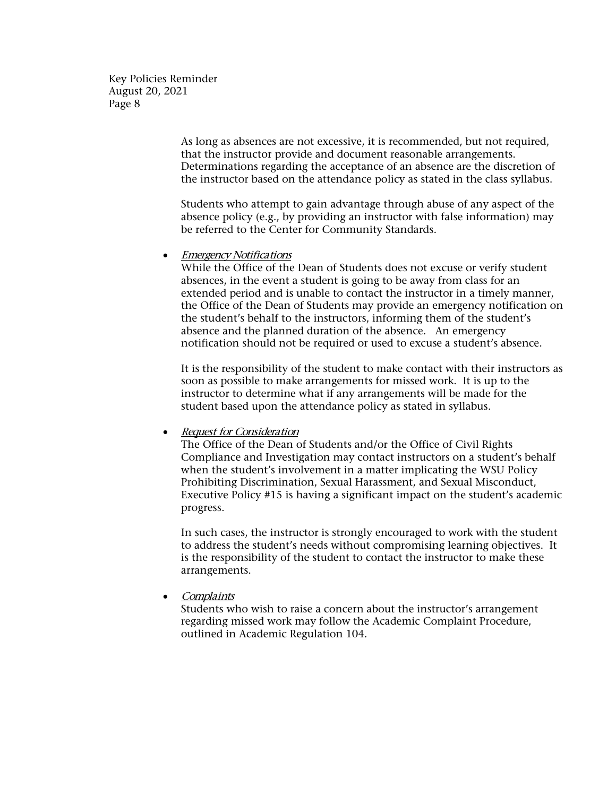> As long as absences are not excessive, it is recommended, but not required, that the instructor provide and document reasonable arrangements. Determinations regarding the acceptance of an absence are the discretion of the instructor based on the attendance policy as stated in the class syllabus.

> Students who attempt to gain advantage through abuse of any aspect of the absence policy (e.g., by providing an instructor with false information) may be referred to the Center for Community Standards.

#### **Emergency Notifications**

While the Office of the Dean of Students does not excuse or verify student absences, in the event a student is going to be away from class for an extended period and is unable to contact the instructor in a timely manner, the Office of the Dean of Students may provide an emergency notification on the student's behalf to the instructors, informing them of the student's absence and the planned duration of the absence. An emergency notification should not be required or used to excuse a student's absence.

It is the responsibility of the student to make contact with their instructors as soon as possible to make arrangements for missed work. It is up to the instructor to determine what if any arrangements will be made for the student based upon the attendance policy as stated in syllabus.

## • Request for Consideration

The Office of the Dean of Students and/or the Office of Civil Rights Compliance and Investigation may contact instructors on a student's behalf when the student's involvement in a matter implicating the WSU Policy Prohibiting Discrimination, Sexual Harassment, and Sexual Misconduct, Executive Policy #15 is having a significant impact on the student's academic progress.

In such cases, the instructor is strongly encouraged to work with the student to address the student's needs without compromising learning objectives. It is the responsibility of the student to contact the instructor to make these arrangements.

**Complaints** 

Students who wish to raise a concern about the instructor's arrangement regarding missed work may follow the Academic Complaint Procedure, outlined in Academic Regulation 104.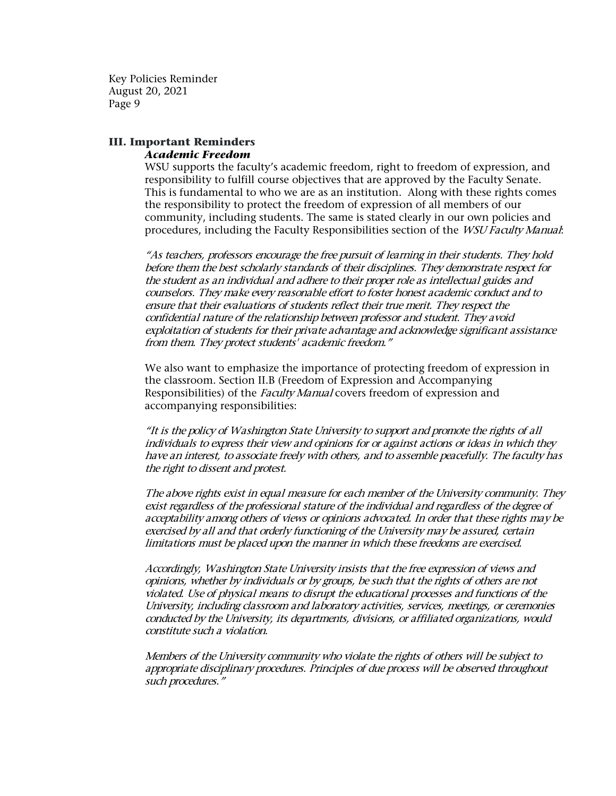## **III. Important Reminders** *Academic Freedom*

WSU supports the faculty's academic freedom, right to freedom of expression, and responsibility to fulfill course objectives that are approved by the Faculty Senate. This is fundamental to who we are as an institution. Along with these rights comes the responsibility to protect the freedom of expression of all members of our community, including students. The same is stated clearly in our own policies and procedures, including the Faculty Responsibilities section of the *WSU Faculty Manual*:

"As teachers, professors encourage the free pursuit of learning in their students. They hold before them the best scholarly standards of their disciplines. They demonstrate respect for the student as an individual and adhere to their proper role as intellectual guides and counselors. They make every reasonable effort to foster honest academic conduct and to ensure that their evaluations of students reflect their true merit. They respect the confidential nature of the relationship between professor and student. They avoid exploitation of students for their private advantage and acknowledge significant assistance from them. They protect students' academic freedom."

We also want to emphasize the importance of protecting freedom of expression in the classroom. Section II.B (Freedom of Expression and Accompanying Responsibilities) of the *Faculty Manual* covers freedom of expression and accompanying responsibilities:

"It is the policy of Washington State University to support and promote the rights of all individuals to express their view and opinions for or against actions or ideas in which they have an interest, to associate freely with others, and to assemble peacefully. The faculty has the right to dissent and protest.

The above rights exist in equal measure for each member of the University community. They exist regardless of the professional stature of the individual and regardless of the degree of acceptability among others of views or opinions advocated. In order that these rights may be exercised by all and that orderly functioning of the University may be assured, certain limitations must be placed upon the manner in which these freedoms are exercised.

Accordingly, Washington State University insists that the free expression of views and opinions, whether by individuals or by groups, be such that the rights of others are not violated. Use of physical means to disrupt the educational processes and functions of the University, including classroom and laboratory activities, services, meetings, or ceremonies conducted by the University, its departments, divisions, or affiliated organizations, would constitute such a violation.

Members of the University community who violate the rights of others will be subject to appropriate disciplinary procedures. Principles of due process will be observed throughout such procedures."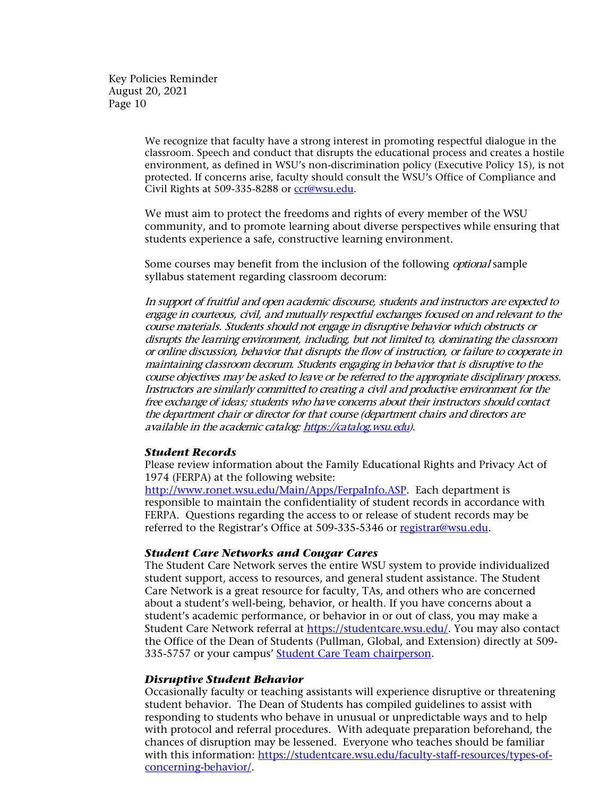> We recognize that faculty have a strong interest in promoting respectful dialogue in the classroom. Speech and conduct that disrupts the educational process and creates a hostile environment, as defined in WSU's non-discrimination policy (Executive Policy 15), is not protected. If concerns arise, faculty should consult the WSU's Office of Compliance and Civil Rights at 509-335-8288 or [ccr@wsu.edu.](mailto:ccr@wsu.edu)

We must aim to protect the freedoms and rights of every member of the WSU community, and to promote learning about diverse perspectives while ensuring that students experience a safe, constructive learning environment.

Some courses may benefit from the inclusion of the following *optional* sample syllabus statement regarding classroom decorum:

In support of fruitful and open academic discourse, students and instructors are expected to engage in courteous, civil, and mutually respectful exchanges focused on and relevant to the course materials. Students should not engage in disruptive behavior which obstructs or disrupts the learning environment, including, but not limited to, dominating the classroom or online discussion, behavior that disrupts the flow of instruction, or failure to cooperate in maintaining classroom decorum. Students engaging in behavior that is disruptive to the course objectives may be asked to leave or be referred to the appropriate disciplinary process. Instructors are similarly committed to creating a civil and productive environment for the free exchange of ideas; students who have concerns about their instructors should contact the department chair or director for that course (department chairs and directors are available in the academic catalog[: https://catalog.wsu.edu\)](https://catalog.wsu.edu/).

## *Student Records*

Please review information about the Family Educational Rights and Privacy Act of 1974 (FERPA) at the following website:

[http://www.ronet.wsu.edu/Main/Apps/FerpaInfo.ASP.](http://www.ronet.wsu.edu/Main/Apps/FerpaInfo.ASP) Each department is responsible to maintain the confidentiality of student records in accordance with FERPA. Questions regarding the access to or release of student records may be referred to the Registrar's Office at 509-335-5346 or [registrar@wsu.edu.](mailto:registrar@wsu.edu)

#### *Student Care Networks and Cougar Cares*

The Student Care Network serves the entire WSU system to provide individualized student support, access to resources, and general student assistance. The Student Care Network is a great resource for faculty, TAs, and others who are concerned about a student's well-being, behavior, or health. If you have concerns about a student's academic performance, or behavior in or out of class, you may make a Student Care Network referral at [https://studentcare.wsu.edu/.](https://studentcare.wsu.edu/) You may also contact the Office of the Dean of Students (Pullman, Global, and Extension) directly at 509- 335-5757 or your campus' [Student Care Team chairperson.](https://studentcare.wsu.edu/student-care-teams/)

#### *Disruptive Student Behavior*

Occasionally faculty or teaching assistants will experience disruptive or threatening student behavior. The Dean of Students has compiled guidelines to assist with responding to students who behave in unusual or unpredictable ways and to help with protocol and referral procedures. With adequate preparation beforehand, the chances of disruption may be lessened. Everyone who teaches should be familiar with this information: [https://studentcare.wsu.edu/faculty-staff-resources/types-of](https://studentcare.wsu.edu/faculty-staff-resources/types-of-concerning-behavior/)[concerning-behavior/.](https://studentcare.wsu.edu/faculty-staff-resources/types-of-concerning-behavior/)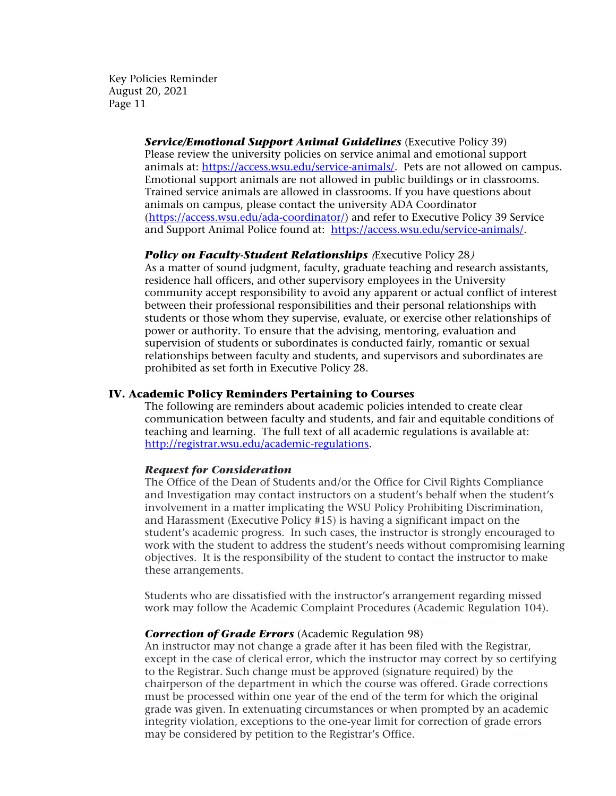> *Service/Emotional Support Animal Guidelines* (Executive Policy 39) Please review the university policies on service animal and emotional support animals at: [https://access.wsu.edu/service-animals/.](https://access.wsu.edu/service-animals/) Pets are not allowed on campus. Emotional support animals are not allowed in public buildings or in classrooms. Trained service animals are allowed in classrooms. If you have questions about animals on campus, please contact the university ADA Coordinator [\(https://access.wsu.edu/ada-coordinator/\)](https://access.wsu.edu/ada-coordinator/) and refer to Executive Policy 39 Service and Support Animal Police found at: [https://access.wsu.edu/service-animals/.](https://access.wsu.edu/service-animals/)

## **Policy on Faculty-Student Relationships** (Executive Policy 28)

As a matter of sound judgment, faculty, graduate teaching and research assistants, residence hall officers, and other supervisory employees in the University community accept responsibility to avoid any apparent or actual conflict of interest between their professional responsibilities and their personal relationships with students or those whom they supervise, evaluate, or exercise other relationships of power or authority. To ensure that the advising, mentoring, evaluation and supervision of students or subordinates is conducted fairly, romantic or sexual relationships between faculty and students, and supervisors and subordinates are prohibited as set forth in Executive Policy 28.

## **IV. Academic Policy Reminders Pertaining to Courses**

The following are reminders about academic policies intended to create clear communication between faculty and students, and fair and equitable conditions of teaching and learning. The full text of all academic regulations is available at: [http://registrar.wsu.edu/academic-regulations.](http://registrar.wsu.edu/academic-regulations)

#### *Request for Consideration*

The Office of the Dean of Students and/or the Office for Civil Rights Compliance and Investigation may contact instructors on a student's behalf when the student's involvement in a matter implicating the WSU Policy Prohibiting Discrimination, and Harassment (Executive Policy #15) is having a significant impact on the student's academic progress. In such cases, the instructor is strongly encouraged to work with the student to address the student's needs without compromising learning objectives. It is the responsibility of the student to contact the instructor to make these arrangements.

Students who are dissatisfied with the instructor's arrangement regarding missed work may follow the Academic Complaint Procedures (Academic Regulation 104).

#### *Correction of Grade Errors* (Academic Regulation 98)

An instructor may not change a grade after it has been filed with the Registrar, except in the case of clerical error, which the instructor may correct by so certifying to the Registrar. Such change must be approved (signature required) by the chairperson of the department in which the course was offered. Grade corrections must be processed within one year of the end of the term for which the original grade was given. In extenuating circumstances or when prompted by an academic integrity violation, exceptions to the one-year limit for correction of grade errors may be considered by petition to the Registrar's Office.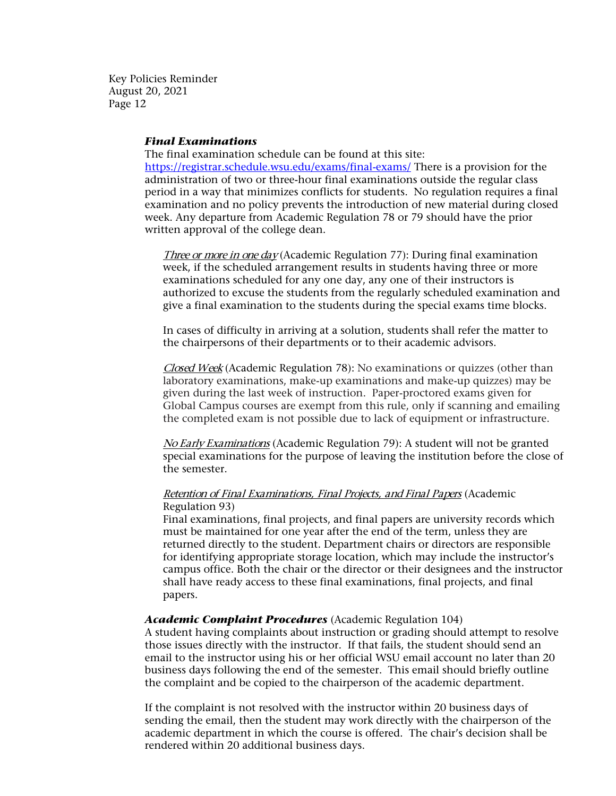#### *Final Examinations*

The final examination schedule can be found at this site: <https://registrar.schedule.wsu.edu/exams/final-exams/> There is a provision for the administration of two or three-hour final examinations outside the regular class period in a way that minimizes conflicts for students. No regulation requires a final examination and no policy prevents the introduction of new material during closed week. Any departure from Academic Regulation 78 or 79 should have the prior written approval of the college dean.

Three or more in one day (Academic Regulation 77): During final examination week, if the scheduled arrangement results in students having three or more examinations scheduled for any one day, any one of their instructors is authorized to excuse the students from the regularly scheduled examination and give a final examination to the students during the special exams time blocks.

In cases of difficulty in arriving at a solution, students shall refer the matter to the chairpersons of their departments or to their academic advisors.

Closed Week (Academic Regulation 78): No examinations or quizzes (other than laboratory examinations, make-up examinations and make-up quizzes) may be given during the last week of instruction. Paper-proctored exams given for Global Campus courses are exempt from this rule, only if scanning and emailing the completed exam is not possible due to lack of equipment or infrastructure.

No Early Examinations (Academic Regulation 79): A student will not be granted special examinations for the purpose of leaving the institution before the close of the semester.

#### Retention of Final Examinations, Final Projects, and Final Papers (Academic Regulation 93)

Final examinations, final projects, and final papers are university records which must be maintained for one year after the end of the term, unless they are returned directly to the student. Department chairs or directors are responsible for identifying appropriate storage location, which may include the instructor's campus office. Both the chair or the director or their designees and the instructor shall have ready access to these final examinations, final projects, and final papers.

#### *Academic Complaint Procedures* (Academic Regulation 104)

A student having complaints about instruction or grading should attempt to resolve those issues directly with the instructor. If that fails, the student should send an email to the instructor using his or her official WSU email account no later than 20 business days following the end of the semester. This email should briefly outline the complaint and be copied to the chairperson of the academic department.

If the complaint is not resolved with the instructor within 20 business days of sending the email, then the student may work directly with the chairperson of the academic department in which the course is offered. The chair's decision shall be rendered within 20 additional business days.